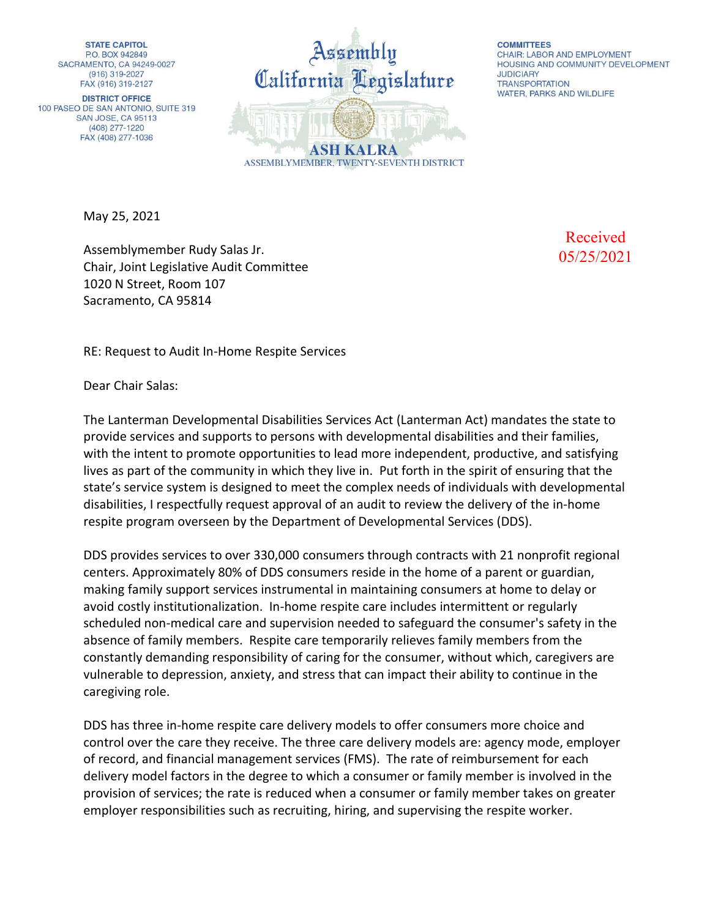**STATE CAPITOL** P.O. BOX 942849 SACRAMENTO, CA 94249-0027 (916) 319-2027 FAX (916) 319-2127

**DISTRICT OFFICE** 100 PASEO DE SAN ANTONIO, SUITE 319 **SAN JOSE, CA 95113** (408) 277-1220 FAX (408) 277-1036

ssembly California Legislature **ASH KALRA** ASSEMBLYMEMBER, TWENTY-SEVENTH DISTRICT

**COMMITTEES CHAIR: LABOR AND EMPLOYMENT** HOUSING AND COMMUNITY DEVELOPMENT **JUDICIARY TRANSPORTATION** WATER, PARKS AND WILDLIFE

May 25, 2021

Assemblymember Rudy Salas Jr. Chair, Joint Legislative Audit Committee 1020 N Street, Room 107 Sacramento, CA 95814

Received 05/25/2021

RE: Request to Audit In-Home Respite Services

Dear Chair Salas:

The Lanterman Developmental Disabilities Services Act (Lanterman Act) mandates the state to provide services and supports to persons with developmental disabilities and their families, with the intent to promote opportunities to lead more independent, productive, and satisfying lives as part of the community in which they live in. Put forth in the spirit of ensuring that the state's service system is designed to meet the complex needs of individuals with developmental disabilities, I respectfully request approval of an audit to review the delivery of the in-home respite program overseen by the Department of Developmental Services (DDS).

DDS provides services to over 330,000 consumers through contracts with 21 nonprofit regional centers. Approximately 80% of DDS consumers reside in the home of a parent or guardian, making family support services instrumental in maintaining consumers at home to delay or avoid costly institutionalization. In-home respite care includes intermittent or regularly scheduled non-medical care and supervision needed to safeguard the consumer's safety in the absence of family members. Respite care temporarily relieves family members from the constantly demanding responsibility of caring for the consumer, without which, caregivers are vulnerable to depression, anxiety, and stress that can impact their ability to continue in the caregiving role.

DDS has three in-home respite care delivery models to offer consumers more choice and control over the care they receive. The three care delivery models are: agency mode, employer of record, and financial management services (FMS). The rate of reimbursement for each delivery model factors in the degree to which a consumer or family member is involved in the provision of services; the rate is reduced when a consumer or family member takes on greater employer responsibilities such as recruiting, hiring, and supervising the respite worker.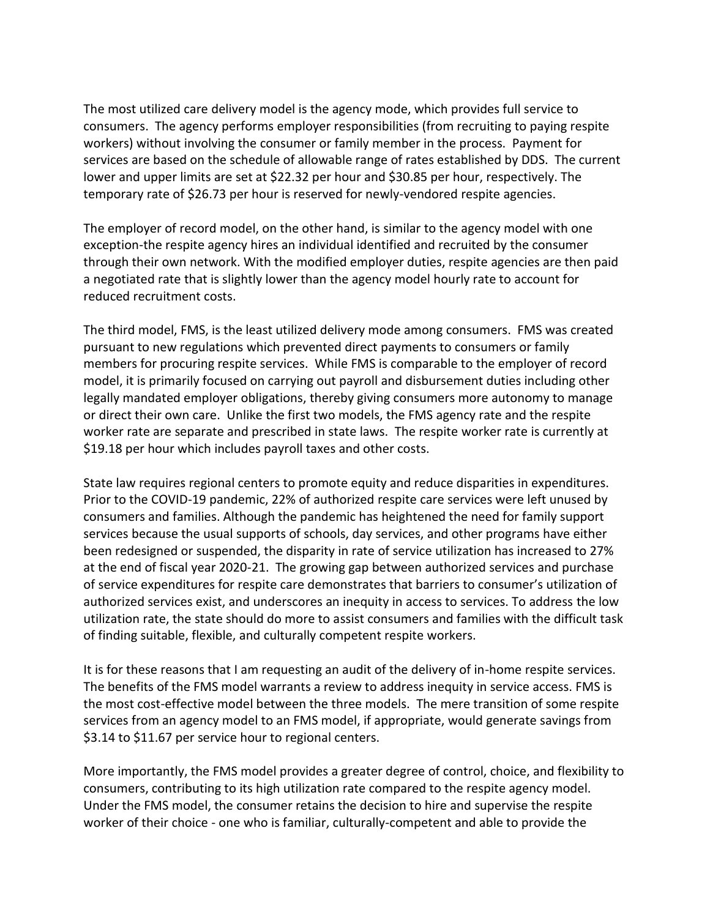The most utilized care delivery model is the agency mode, which provides full service to consumers. The agency performs employer responsibilities (from recruiting to paying respite workers) without involving the consumer or family member in the process. Payment for services are based on the schedule of allowable range of rates established by DDS. The current lower and upper limits are set at \$22.32 per hour and \$30.85 per hour, respectively. The temporary rate of \$26.73 per hour is reserved for newly-vendored respite agencies.

The employer of record model, on the other hand, is similar to the agency model with one exception-the respite agency hires an individual identified and recruited by the consumer through their own network. With the modified employer duties, respite agencies are then paid a negotiated rate that is slightly lower than the agency model hourly rate to account for reduced recruitment costs.

The third model, FMS, is the least utilized delivery mode among consumers. FMS was created pursuant to new regulations which prevented direct payments to consumers or family members for procuring respite services. While FMS is comparable to the employer of record model, it is primarily focused on carrying out payroll and disbursement duties including other legally mandated employer obligations, thereby giving consumers more autonomy to manage or direct their own care. Unlike the first two models, the FMS agency rate and the respite worker rate are separate and prescribed in state laws. The respite worker rate is currently at \$19.18 per hour which includes payroll taxes and other costs.

State law requires regional centers to promote equity and reduce disparities in expenditures. Prior to the COVID-19 pandemic, 22% of authorized respite care services were left unused by consumers and families. Although the pandemic has heightened the need for family support services because the usual supports of schools, day services, and other programs have either been redesigned or suspended, the disparity in rate of service utilization has increased to 27% at the end of fiscal year 2020-21. The growing gap between authorized services and purchase of service expenditures for respite care demonstrates that barriers to consumer's utilization of authorized services exist, and underscores an inequity in access to services. To address the low utilization rate, the state should do more to assist consumers and families with the difficult task of finding suitable, flexible, and culturally competent respite workers.

It is for these reasons that I am requesting an audit of the delivery of in-home respite services. The benefits of the FMS model warrants a review to address inequity in service access. FMS is the most cost-effective model between the three models. The mere transition of some respite services from an agency model to an FMS model, if appropriate, would generate savings from \$3.14 to \$11.67 per service hour to regional centers.

More importantly, the FMS model provides a greater degree of control, choice, and flexibility to consumers, contributing to its high utilization rate compared to the respite agency model. Under the FMS model, the consumer retains the decision to hire and supervise the respite worker of their choice - one who is familiar, culturally-competent and able to provide the